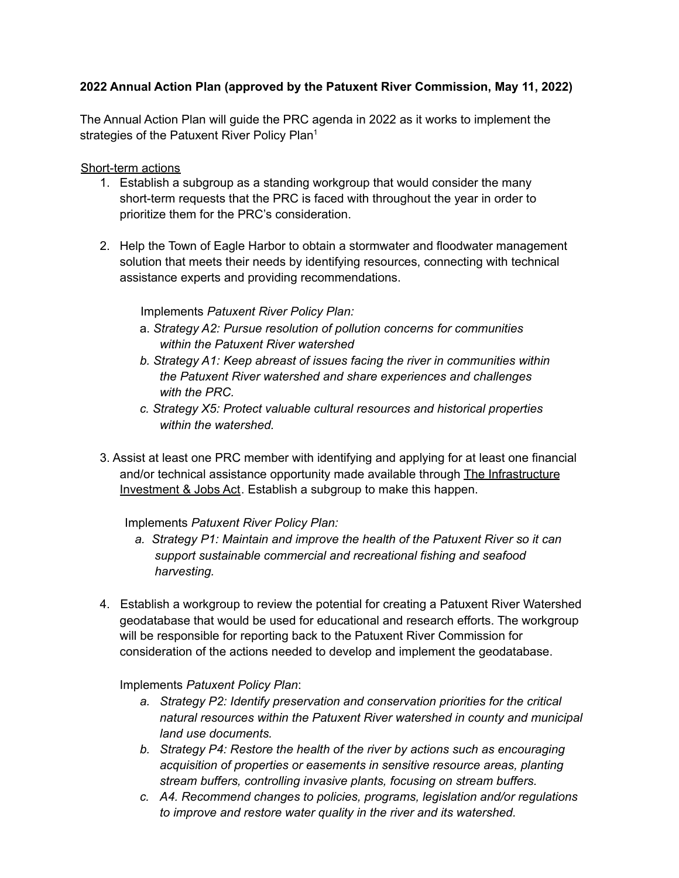## **2022 Annual Action Plan (approved by the Patuxent River Commission, May 11, 2022)**

The Annual Action Plan will guide the PRC agenda in 2022 as it works to implement the strategies of the Patuxent River Policy Plan<sup>1</sup>

## Short-term actions

- 1. Establish a subgroup as a standing workgroup that would consider the many short-term requests that the PRC is faced with throughout the year in order to prioritize them for the PRC's consideration.
- 2. Help the Town of Eagle Harbor to obtain a stormwater and floodwater management solution that meets their needs by identifying resources, connecting with technical assistance experts and providing recommendations.

## Implements *Patuxent River Policy Plan:*

- a. *Strategy A2: Pursue resolution of pollution concerns for communities within the Patuxent River watershed*
- *b. Strategy A1: Keep abreast of issues facing the river in communities within the Patuxent River watershed and share experiences and challenges with the PRC.*
- *c. Strategy X5: Protect valuable cultural resources and historical properties within the watershed.*
- 3. Assist at least one PRC member with identifying and applying for at least one financial and/or technical assistance opportunity made available through The Infrastructure Investment & Jobs Act. Establish a subgroup to make this happen.

## Implements *Patuxent River Policy Plan:*

- *a. Strategy P1: Maintain and improve the health of the Patuxent River so it can support sustainable commercial and recreational fishing and seafood harvesting.*
- 4. Establish a workgroup to review the potential for creating a Patuxent River Watershed geodatabase that would be used for educational and research efforts. The workgroup will be responsible for reporting back to the Patuxent River Commission for consideration of the actions needed to develop and implement the geodatabase.

Implements *Patuxent Policy Plan*:

- *a. Strategy P2: Identify preservation and conservation priorities for the critical natural resources within the Patuxent River watershed in county and municipal land use documents.*
- *b. Strategy P4: Restore the health of the river by actions such as encouraging acquisition of properties or easements in sensitive resource areas, planting stream buffers, controlling invasive plants, focusing on stream buffers.*
- *c. A4. Recommend changes to policies, programs, legislation and/or regulations to improve and restore water quality in the river and its watershed.*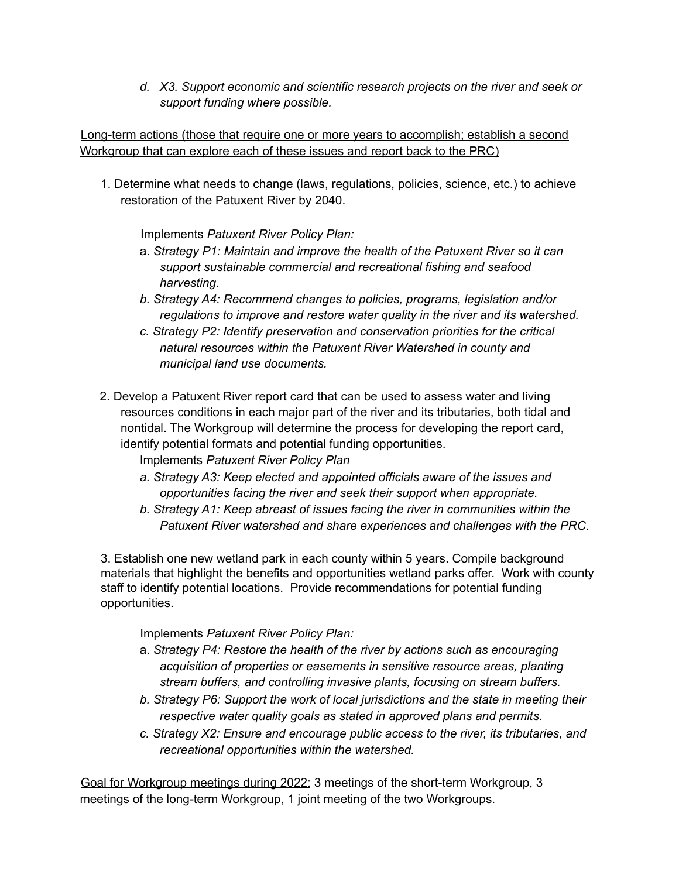*d. X3. Support economic and scientific research projects on the river and seek or support funding where possible.*

Long-term actions (those that require one or more years to accomplish; establish a second Workgroup that can explore each of these issues and report back to the PRC)

1. Determine what needs to change (laws, regulations, policies, science, etc.) to achieve restoration of the Patuxent River by 2040.

Implements *Patuxent River Policy Plan:*

- a. *Strategy P1: Maintain and improve the health of the Patuxent River so it can support sustainable commercial and recreational fishing and seafood harvesting.*
- *b. Strategy A4: Recommend changes to policies, programs, legislation and/or regulations to improve and restore water quality in the river and its watershed.*
- *c. Strategy P2: Identify preservation and conservation priorities for the critical natural resources within the Patuxent River Watershed in county and municipal land use documents.*
- 2. Develop a Patuxent River report card that can be used to assess water and living resources conditions in each major part of the river and its tributaries, both tidal and nontidal. The Workgroup will determine the process for developing the report card, identify potential formats and potential funding opportunities.

Implements *Patuxent River Policy Plan*

- *a. Strategy A3: Keep elected and appointed officials aware of the issues and opportunities facing the river and seek their support when appropriate.*
- *b. Strategy A1: Keep abreast of issues facing the river in communities within the Patuxent River watershed and share experiences and challenges with the PRC.*

3. Establish one new wetland park in each county within 5 years. Compile background materials that highlight the benefits and opportunities wetland parks offer. Work with county staff to identify potential locations. Provide recommendations for potential funding opportunities.

Implements *Patuxent River Policy Plan:*

- a. *Strategy P4: Restore the health of the river by actions such as encouraging acquisition of properties or easements in sensitive resource areas, planting stream buffers, and controlling invasive plants, focusing on stream buffers.*
- *b. Strategy P6: Support the work of local jurisdictions and the state in meeting their respective water quality goals as stated in approved plans and permits.*
- *c. Strategy X2: Ensure and encourage public access to the river, its tributaries, and recreational opportunities within the watershed.*

Goal for Workgroup meetings during 2022: 3 meetings of the short-term Workgroup, 3 meetings of the long-term Workgroup, 1 joint meeting of the two Workgroups.